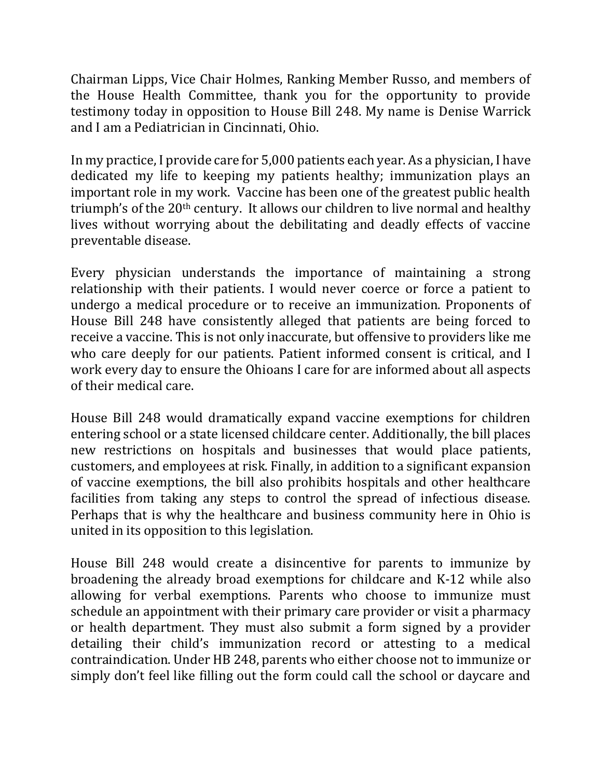Chairman Lipps, Vice Chair Holmes, Ranking Member Russo, and members of the House Health Committee, thank you for the opportunity to provide testimony today in opposition to House Bill 248. My name is Denise Warrick and I am a Pediatrician in Cincinnati, Ohio.

In my practice, I provide care for 5,000 patients each year. As a physician, I have dedicated my life to keeping my patients healthy; immunization plays an important role in my work. Vaccine has been one of the greatest public health triumph's of the 20<sup>th</sup> century. It allows our children to live normal and healthy lives without worrying about the debilitating and deadly effects of vaccine preventable disease.

Every physician understands the importance of maintaining a strong relationship with their patients. I would never coerce or force a patient to undergo a medical procedure or to receive an immunization. Proponents of House Bill 248 have consistently alleged that patients are being forced to receive a vaccine. This is not only inaccurate, but offensive to providers like me who care deeply for our patients. Patient informed consent is critical, and I work every day to ensure the Ohioans I care for are informed about all aspects of their medical care.

House Bill 248 would dramatically expand vaccine exemptions for children entering school or a state licensed childcare center. Additionally, the bill places new restrictions on hospitals and businesses that would place patients, customers, and employees at risk. Finally, in addition to a significant expansion of vaccine exemptions, the bill also prohibits hospitals and other healthcare facilities from taking any steps to control the spread of infectious disease. Perhaps that is why the healthcare and business community here in Ohio is united in its opposition to this legislation.

House Bill 248 would create a disincentive for parents to immunize by broadening the already broad exemptions for childcare and K-12 while also allowing for verbal exemptions. Parents who choose to immunize must schedule an appointment with their primary care provider or visit a pharmacy or health department. They must also submit a form signed by a provider detailing their child's immunization record or attesting to a medical contraindication. Under HB 248, parents who either choose not to immunize or simply don't feel like filling out the form could call the school or daycare and